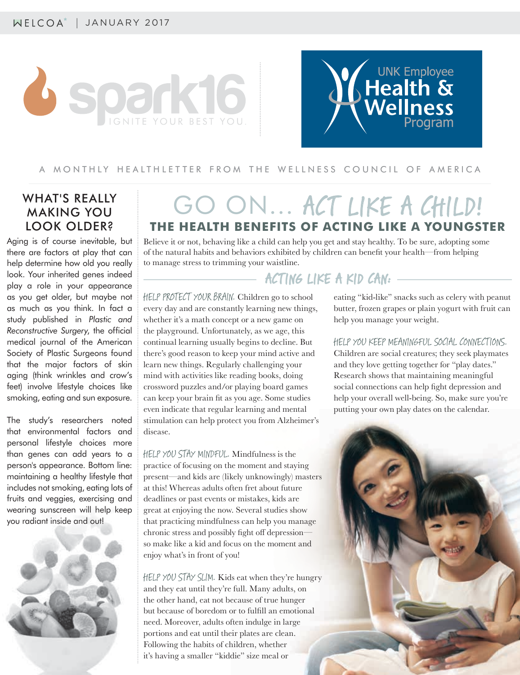



#### A MONTHLY HEALTHLETTER FROM THE WELLNESS COUNCIL OF AMERICA

#### WHAT'S REALLY MAKING YOU LOOK OLDER?

Aging is of course inevitable, but there are factors at play that can help determine how old you really look. Your inherited genes indeed play a role in your appearance as you get older, but maybe not as much as you think. In fact a study published in *Plastic and Reconstructive Surgery*, the official medical journal of the American Society of Plastic Surgeons found that the major factors of skin aging (think wrinkles and crow's feet) involve lifestyle choices like smoking, eating and sun exposure.

The study's researchers noted that environmental factors and personal lifestyle choices more than genes can add years to a person's appearance. Bottom line: maintaining a healthy lifestyle that includes not smoking, eating lots of fruits and veggies, exercising and wearing sunscreen will help keep you radiant inside and out!



# GO ON… ACT LIKE A CHILD! **THE HEALTH BENEFITS OF ACTING LIKE A YOUNGSTER**

Believe it or not, behaving like a child can help you get and stay healthy. To be sure, adopting some of the natural habits and behaviors exhibited by children can benefi t your health—from helping to manage stress to trimming your waistline.

- ACTING LIKE A KID CAN: -

HELP PROTECT YOUR BRAIN. Children go to school every day and are constantly learning new things, whether it's a math concept or a new game on the playground. Unfortunately, as we age, this continual learning usually begins to decline. But there's good reason to keep your mind active and learn new things. Regularly challenging your mind with activities like reading books, doing crossword puzzles and/or playing board games can keep your brain fit as you age. Some studies even indicate that regular learning and mental stimulation can help protect you from Alzheimer's disease.

HELP YOU STAY MINDFUL. Mindfulness is the practice of focusing on the moment and staying present—and kids are (likely unknowingly) masters at this! Whereas adults often fret about future deadlines or past events or mistakes, kids are great at enjoying the now. Several studies show that practicing mindfulness can help you manage chronic stress and possibly fight off depressionso make like a kid and focus on the moment and enjoy what's in front of you!

HELP YOU STAY SLIM. Kids eat when they're hungry and they eat until they're full. Many adults, on the other hand, eat not because of true hunger but because of boredom or to fulfill an emotional need. Moreover, adults often indulge in large portions and eat until their plates are clean. Following the habits of children, whether it's having a smaller "kiddie" size meal or

eating "kid-like" snacks such as celery with peanut butter, frozen grapes or plain yogurt with fruit can help you manage your weight.

HELP YOU KEEP MEANINGFUL SOCIAL CONNECTIONS. Children are social creatures; they seek playmates and they love getting together for "play dates." Research shows that maintaining meaningful social connections can help fight depression and help your overall well-being. So, make sure you're putting your own play dates on the calendar.

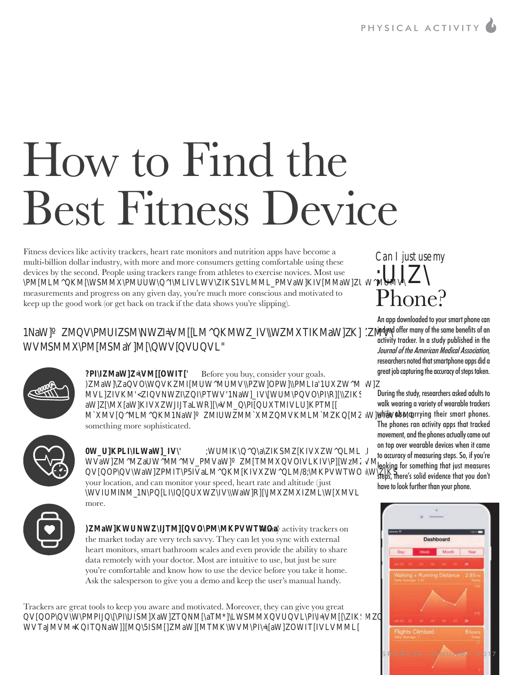# How to Find the Best Fitness Device

Fitness devices like activity trackers, heart rate monitors and nutrition apps have become a multi-billion dollar industry, with more and more consumers getting comfortable using these devices by the second. People using trackers range from athletes to exercise novices. Most use PMMLMKMWMMPMUUWMLVLWVK1VLMMLPMVaWKVMMaWUWMUMV measurements and progress on any given day, you're much more conscious and motivated to keep up the good work (or get back on track if the data shows you're slipping).

#### 1aWWPMUMWMLMKMWWMTKMaWKMV WVMMPMMMaYMWWUL.



?PMaWVMOWT Before you buy, consider your goals. )MaWaVOWVKMMUWMUMVPWOPWPMLalUWMaW MVLVKMWPTWV1aWVWUMPVOPRK aWMaWKVWTaLWRVMPUTMVLUKPTM MMVMLMKM1aWMUWMMMWWKMLMMKMaWUaVMML something more sophisticated.



0W\_U]KPLI\LWaW]\_IV\' ;WUMIK\Q^a\ZIKSMZ[KIVXZW^QLMLI\ WVaWMMaUWMMMVPMVaWMTMMVOVLKVPWzMVM VOPVWaWPMTP5VaLMKMKVWLM/8;MKPVWTWOaWK your location, and can monitor your speed, heart rate and altitude (just WVUMMIPLUWVWaWRMMMLWMVL more.



)MaWKWUWTMVOPMMKPVWTWOa Many activity trackers on the market today are very tech savvy. They can let you sync with external heart monitors, smart bathroom scales and even provide the ability to share data remotely with your doctor. Most are intuitive to use, but just be sure you're comfortable and know how to use the device before you take it home. Ask the salesperson to give you a demo and keep the user's manual handy.

Trackers are great tools to keep you aware and motivated. Moreover, they can give you great VOPVWPMPPUMaWTMaTMLWMMVUVLPVMKM WVTaMVMKTaWM5MMaWMTMKWVMPaWOWTVLVMML

# *Can I just use my*  $\mathsf{L}$ Phone?

An app downloaded to your smart phone can indeed offer many of the same benefits of an activity tracker. In a study published in the Journal of the American Medical Association, researchers noted that smartphone apps did a great job capturing the accuracy of steps taken.

During the study, researchers asked adults to walk wearing a variety of wearable trackers while also carrying their smart phones. The phones ran activity apps that tracked movement, and the phones actually came out on top over wearable devices when it came to accuracy of measuring steps. So, if you're looking for something that just measures steps, there's solid evidence that you don't have to look further than your phone.